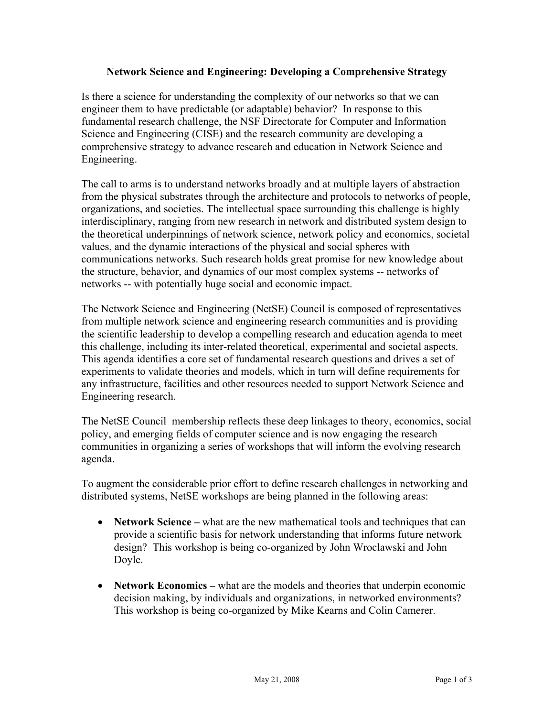## **Network Science and Engineering: Developing a Comprehensive Strategy**

Is there a science for understanding the complexity of our networks so that we can engineer them to have predictable (or adaptable) behavior? In response to this fundamental research challenge, the NSF Directorate for Computer and Information Science and Engineering (CISE) and the research community are developing a comprehensive strategy to advance research and education in Network Science and Engineering.

The call to arms is to understand networks broadly and at multiple layers of abstraction from the physical substrates through the architecture and protocols to networks of people, organizations, and societies. The intellectual space surrounding this challenge is highly interdisciplinary, ranging from new research in network and distributed system design to the theoretical underpinnings of network science, network policy and economics, societal values, and the dynamic interactions of the physical and social spheres with communications networks. Such research holds great promise for new knowledge about the structure, behavior, and dynamics of our most complex systems -- networks of networks -- with potentially huge social and economic impact.

The Network Science and Engineering (NetSE) Council is composed of representatives from multiple network science and engineering research communities and is providing the scientific leadership to develop a compelling research and education agenda to meet this challenge, including its inter-related theoretical, experimental and societal aspects. This agenda identifies a core set of fundamental research questions and drives a set of experiments to validate theories and models, which in turn will define requirements for any infrastructure, facilities and other resources needed to support Network Science and Engineering research.

The NetSE Council membership reflects these deep linkages to theory, economics, social policy, and emerging fields of computer science and is now engaging the research communities in organizing a series of workshops that will inform the evolving research agenda.

To augment the considerable prior effort to define research challenges in networking and distributed systems, NetSE workshops are being planned in the following areas:

- ! **Network Science –** what are the new mathematical tools and techniques that can provide a scientific basis for network understanding that informs future network design? This workshop is being co-organized by John Wroclawski and John Doyle.
- **Network Economics** what are the models and theories that underpin economic decision making, by individuals and organizations, in networked environments? This workshop is being co-organized by Mike Kearns and Colin Camerer.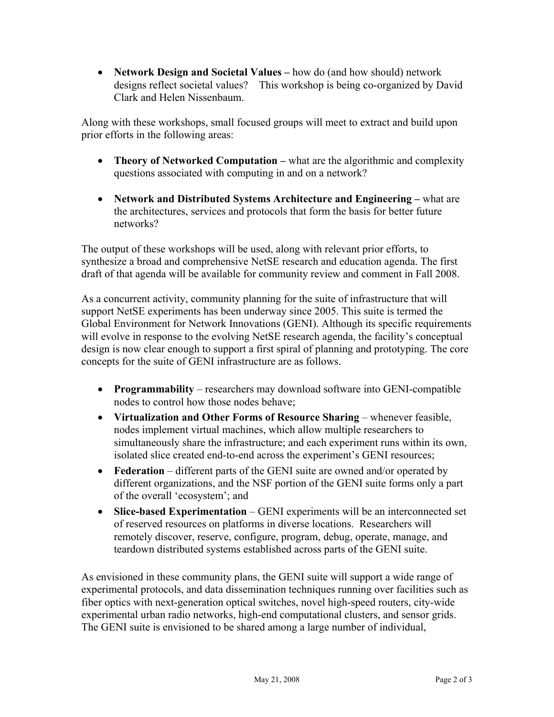! **Network Design and Societal Values –** how do (and how should) network designs reflect societal values? This workshop is being co-organized by David Clark and Helen Nissenbaum.

Along with these workshops, small focused groups will meet to extract and build upon prior efforts in the following areas:

- **Theory of Networked Computation** what are the algorithmic and complexity questions associated with computing in and on a network?
- ! **Network and Distributed Systems Architecture and Engineering** what are the architectures, services and protocols that form the basis for better future networks?

The output of these workshops will be used, along with relevant prior efforts, to synthesize a broad and comprehensive NetSE research and education agenda. The first draft of that agenda will be available for community review and comment in Fall 2008.

As a concurrent activity, community planning for the suite of infrastructure that will support NetSE experiments has been underway since 2005. This suite is termed the Global Environment for Network Innovations (GENI). Although its specific requirements will evolve in response to the evolving NetSE research agenda, the facility's conceptual design is now clear enough to support a first spiral of planning and prototyping. The core concepts for the suite of GENI infrastructure are as follows.

- ! **Programmability** researchers may download software into GENI-compatible nodes to control how those nodes behave;
- ! **Virtualization and Other Forms of Resource Sharing**  whenever feasible, nodes implement virtual machines, which allow multiple researchers to simultaneously share the infrastructure; and each experiment runs within its own, isolated slice created end-to-end across the experiment's GENI resources;
- ! **Federation** different parts of the GENI suite are owned and/or operated by different organizations, and the NSF portion of the GENI suite forms only a part of the overall 'ecosystem'; and
- ! **Slice-based Experimentation** GENI experiments will be an interconnected set of reserved resources on platforms in diverse locations. Researchers will remotely discover, reserve, configure, program, debug, operate, manage, and teardown distributed systems established across parts of the GENI suite.

As envisioned in these community plans, the GENI suite will support a wide range of experimental protocols, and data dissemination techniques running over facilities such as fiber optics with next-generation optical switches, novel high-speed routers, city-wide experimental urban radio networks, high-end computational clusters, and sensor grids. The GENI suite is envisioned to be shared among a large number of individual,